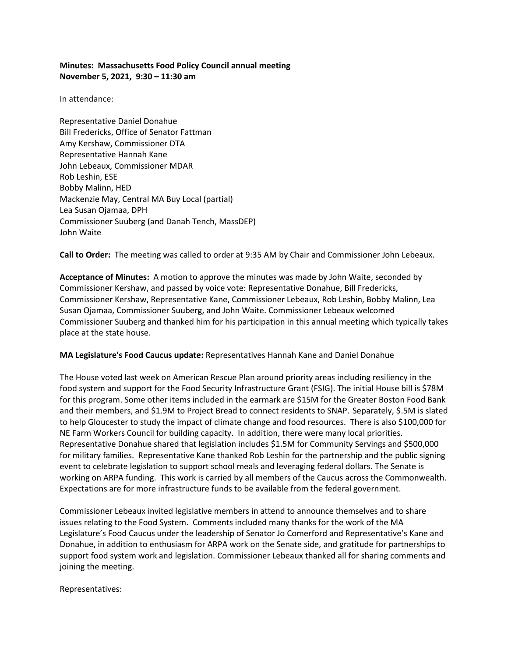## **Minutes: Massachusetts Food Policy Council annual meeting November 5, 2021, 9:30 – 11:30 am**

In attendance:

Representative Daniel Donahue Bill Fredericks, Office of Senator Fattman Amy Kershaw, Commissioner DTA Representative Hannah Kane John Lebeaux, Commissioner MDAR Rob Leshin, ESE Bobby Malinn, HED Mackenzie May, Central MA Buy Local (partial) Lea Susan Ojamaa, DPH Commissioner Suuberg (and Danah Tench, MassDEP) John Waite

**Call to Order:** The meeting was called to order at 9:35 AM by Chair and Commissioner John Lebeaux.

**Acceptance of Minutes:** A motion to approve the minutes was made by John Waite, seconded by Commissioner Kershaw, and passed by voice vote: Representative Donahue, Bill Fredericks, Commissioner Kershaw, Representative Kane, Commissioner Lebeaux, Rob Leshin, Bobby Malinn, Lea Susan Ojamaa, Commissioner Suuberg, and John Waite. Commissioner Lebeaux welcomed Commissioner Suuberg and thanked him for his participation in this annual meeting which typically takes place at the state house.

## **MA Legislature's Food Caucus update:** Representatives Hannah Kane and Daniel Donahue

The House voted last week on American Rescue Plan around priority areas including resiliency in the food system and support for the Food Security Infrastructure Grant (FSIG). The initial House bill is \$78M for this program. Some other items included in the earmark are \$15M for the Greater Boston Food Bank and their members, and \$1.9M to Project Bread to connect residents to SNAP. Separately, \$.5M is slated to help Gloucester to study the impact of climate change and food resources. There is also \$100,000 for NE Farm Workers Council for building capacity. In addition, there were many local priorities. Representative Donahue shared that legislation includes \$1.5M for Community Servings and \$500,000 for military families. Representative Kane thanked Rob Leshin for the partnership and the public signing event to celebrate legislation to support school meals and leveraging federal dollars. The Senate is working on ARPA funding. This work is carried by all members of the Caucus across the Commonwealth. Expectations are for more infrastructure funds to be available from the federal government.

Commissioner Lebeaux invited legislative members in attend to announce themselves and to share issues relating to the Food System. Comments included many thanks for the work of the MA Legislature's Food Caucus under the leadership of Senator Jo Comerford and Representative's Kane and Donahue, in addition to enthusiasm for ARPA work on the Senate side, and gratitude for partnerships to support food system work and legislation. Commissioner Lebeaux thanked all for sharing comments and joining the meeting.

Representatives: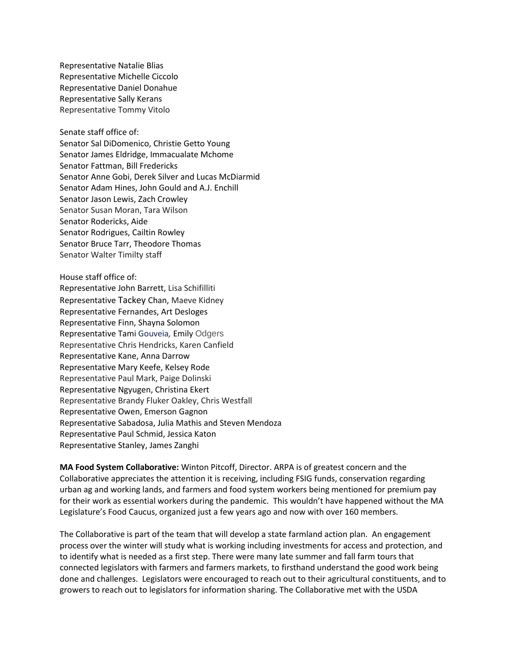Representative Natalie Blias Representative Michelle Ciccolo Representative Daniel Donahue Representative Sally Kerans Representative Tommy Vitolo

Senate staff office of:

Senator Sal DiDomenico, Christie Getto Young Senator James Eldridge, Immacualate Mchome Senator Fattman, Bill Fredericks Senator Anne Gobi, Derek Silver and Lucas McDiarmid Senator Adam Hines, John Gould and A.J. Enchill Senator Jason Lewis, Zach Crowley Senator Susan Moran, Tara Wilson Senator Rodericks, Aide Senator Rodrigues, Cailtin Rowley Senator Bruce Tarr, Theodore Thomas Senator Walter Timilty staff

House staff office of: Representative John Barrett, Lisa Schifilliti Representative Tackey Chan, Maeve Kidney Representative Fernandes, Art Desloges Representative Finn, Shayna Solomon Representative Tami Gouveia*,* Emily Odgers Representative Chris Hendricks, Karen Canfield Representative Kane, Anna Darrow Representative Mary Keefe, Kelsey Rode Representative Paul Mark, Paige Dolinski Representative Ngyugen, Christina Ekert Representative Brandy Fluker Oakley, Chris Westfall Representative Owen, Emerson Gagnon Representative Sabadosa, Julia Mathis and Steven Mendoza Representative Paul Schmid, Jessica Katon Representative Stanley, James Zanghi

**MA Food System Collaborative:** Winton Pitcoff, Director. ARPA is of greatest concern and the Collaborative appreciates the attention it is receiving, including FSIG funds, conservation regarding urban ag and working lands, and farmers and food system workers being mentioned for premium pay for their work as essential workers during the pandemic. This wouldn't have happened without the MA Legislature's Food Caucus, organized just a few years ago and now with over 160 members.

The Collaborative is part of the team that will develop a state farmland action plan. An engagement process over the winter will study what is working including investments for access and protection, and to identify what is needed as a first step. There were many late summer and fall farm tours that connected legislators with farmers and farmers markets, to firsthand understand the good work being done and challenges. Legislators were encouraged to reach out to their agricultural constituents, and to growers to reach out to legislators for information sharing. The Collaborative met with the USDA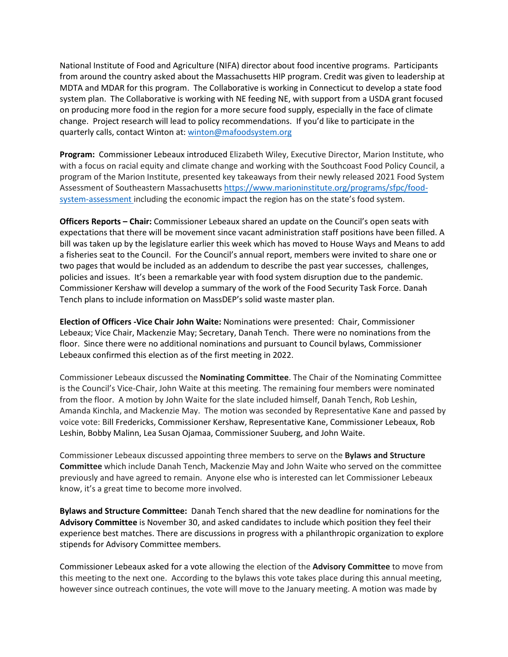National Institute of Food and Agriculture (NIFA) director about food incentive programs. Participants from around the country asked about the Massachusetts HIP program. Credit was given to leadership at MDTA and MDAR for this program. The Collaborative is working in Connecticut to develop a state food system plan. The Collaborative is working with NE feeding NE, with support from a USDA grant focused on producing more food in the region for a more secure food supply, especially in the face of climate change. Project research will lead to policy recommendations. If you'd like to participate in the quarterly calls, contact Winton at[: winton@mafoodsystem.org](mailto:winton@mafoodsystem.org)

**Program:** Commissioner Lebeaux introduced Elizabeth Wiley, Executive Director, Marion Institute, who with a focus on racial equity and climate change and working with the Southcoast Food Policy Council, a program of the Marion Institute, presented key takeaways from their newly released 2021 Food System Assessment of Southeastern Massachusetts [https://www.marioninstitute.org/programs/sfpc/food](https://www.marioninstitute.org/programs/sfpc/food-system-assessment)[system-assessment](https://www.marioninstitute.org/programs/sfpc/food-system-assessment) including the economic impact the region has on the state's food system.

**Officers Reports – Chair:** Commissioner Lebeaux shared an update on the Council's open seats with expectations that there will be movement since vacant administration staff positions have been filled. A bill was taken up by the legislature earlier this week which has moved to House Ways and Means to add a fisheries seat to the Council. For the Council's annual report, members were invited to share one or two pages that would be included as an addendum to describe the past year successes, challenges, policies and issues. It's been a remarkable year with food system disruption due to the pandemic. Commissioner Kershaw will develop a summary of the work of the Food Security Task Force. Danah Tench plans to include information on MassDEP's solid waste master plan.

**Election of Officers -Vice Chair John Waite:** Nominations were presented: Chair, Commissioner Lebeaux; Vice Chair, Mackenzie May; Secretary, Danah Tench. There were no nominations from the floor. Since there were no additional nominations and pursuant to Council bylaws, Commissioner Lebeaux confirmed this election as of the first meeting in 2022.

Commissioner Lebeaux discussed the **Nominating Committee**. The Chair of the Nominating Committee is the Council's Vice-Chair, John Waite at this meeting. The remaining four members were nominated from the floor. A motion by John Waite for the slate included himself, Danah Tench, Rob Leshin, Amanda Kinchla, and Mackenzie May. The motion was seconded by Representative Kane and passed by voice vote: Bill Fredericks, Commissioner Kershaw, Representative Kane, Commissioner Lebeaux, Rob Leshin, Bobby Malinn, Lea Susan Ojamaa, Commissioner Suuberg, and John Waite.

Commissioner Lebeaux discussed appointing three members to serve on the **Bylaws and Structure Committee** which include Danah Tench, Mackenzie May and John Waite who served on the committee previously and have agreed to remain. Anyone else who is interested can let Commissioner Lebeaux know, it's a great time to become more involved.

**Bylaws and Structure Committee:** Danah Tench shared that the new deadline for nominations for the **Advisory Committee** is November 30, and asked candidates to include which position they feel their experience best matches. There are discussions in progress with a philanthropic organization to explore stipends for Advisory Committee members.

Commissioner Lebeaux asked for a vote allowing the election of the **Advisory Committee** to move from this meeting to the next one. According to the bylaws this vote takes place during this annual meeting, however since outreach continues, the vote will move to the January meeting. A motion was made by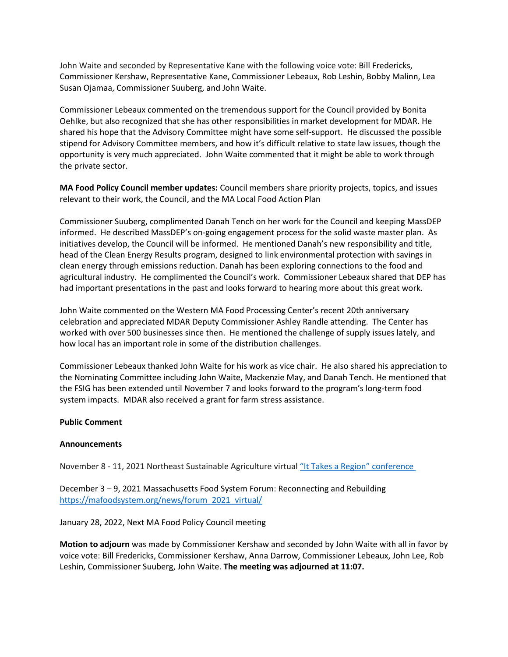John Waite and seconded by Representative Kane with the following voice vote: Bill Fredericks, Commissioner Kershaw, Representative Kane, Commissioner Lebeaux, Rob Leshin, Bobby Malinn, Lea Susan Ojamaa, Commissioner Suuberg, and John Waite.

Commissioner Lebeaux commented on the tremendous support for the Council provided by Bonita Oehlke, but also recognized that she has other responsibilities in market development for MDAR. He shared his hope that the Advisory Committee might have some self-support. He discussed the possible stipend for Advisory Committee members, and how it's difficult relative to state law issues, though the opportunity is very much appreciated. John Waite commented that it might be able to work through the private sector.

**MA Food Policy Council member updates:** Council members share priority projects, topics, and issues relevant to their work, the Council, and the MA Local Food Action Plan

Commissioner Suuberg, complimented Danah Tench on her work for the Council and keeping MassDEP informed. He described MassDEP's on-going engagement process for the solid waste master plan. As initiatives develop, the Council will be informed. He mentioned Danah's new responsibility and title, head of the Clean Energy Results program, designed to link environmental protection with savings in clean energy through emissions reduction. Danah has been exploring connections to the food and agricultural industry. He complimented the Council's work. Commissioner Lebeaux shared that DEP has had important presentations in the past and looks forward to hearing more about this great work.

John Waite commented on the Western MA Food Processing Center's recent 20th anniversary celebration and appreciated MDAR Deputy Commissioner Ashley Randle attending. The Center has worked with over 500 businesses since then. He mentioned the challenge of supply issues lately, and how local has an important role in some of the distribution challenges.

Commissioner Lebeaux thanked John Waite for his work as vice chair. He also shared his appreciation to the Nominating Committee including John Waite, Mackenzie May, and Danah Tench. He mentioned that the FSIG has been extended until November 7 and looks forward to the program's long-term food system impacts. MDAR also received a grant for farm stress assistance.

## **Public Comment**

## **Announcements**

November 8 - 11, 2021 Northeast Sustainable Agriculture virtual "It Takes a Region" [conference](https://urldefense.com/v3/__https:/nesawg.org/conference__;!!CUhgQOZqV7M!0vMQAonjMgH7MG7b2pXIljy0_PyO2ok5vuia-m7bXH2Jauk-AKpIMJymeoEetLGSYqC8$)

December 3 – 9, 2021 Massachusetts Food System Forum: Reconnecting and Rebuilding [https://mafoodsystem.org/news/forum\\_2021\\_virtual/](https://mafoodsystem.org/news/forum_2021_virtual/)

January 28, 2022, Next MA Food Policy Council meeting

**Motion to adjourn** was made by Commissioner Kershaw and seconded by John Waite with all in favor by voice vote: Bill Fredericks, Commissioner Kershaw, Anna Darrow, Commissioner Lebeaux, John Lee, Rob Leshin, Commissioner Suuberg, John Waite. **The meeting was adjourned at 11:07.**